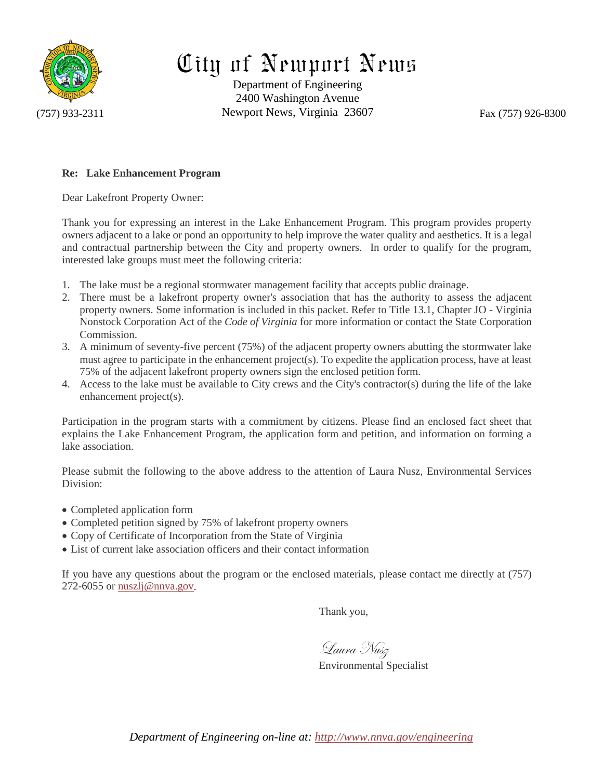

# City of Newport News

Department of Engineering 2400 Washington Avenue (757) 933-2311 Newport News, Virginia 23607 Fax (757) 926-8300

## **Re: Lake Enhancement Program**

Dear Lakefront Property Owner:

Thank you for expressing an interest in the Lake Enhancement Program. This program provides property owners adjacent to a lake or pond an opportunity to help improve the water quality and aesthetics. It is a legal and contractual partnership between the City and property owners. In order to qualify for the program, interested lake groups must meet the following criteria:

- 1. The lake must be a regional stormwater management facility that accepts public drainage.
- 2. There must be a lakefront property owner's association that has the authority to assess the adjacent property owners. Some information is included in this packet. Refer to Title 13.1, Chapter JO - Virginia Nonstock Corporation Act of the *Code of Virginia* for more information or contact the State Corporation Commission.
- 3. A minimum of seventy-five percent (75%) of the adjacent property owners abutting the stormwater lake must agree to participate in the enhancement project(s). To expedite the application process, have at least 75% of the adjacent lakefront property owners sign the enclosed petition form.
- 4. Access to the lake must be available to City crews and the City's contractor(s) during the life of the lake enhancement project(s).

Participation in the program starts with a commitment by citizens. Please find an enclosed fact sheet that explains the Lake Enhancement Program, the application form and petition, and information on forming a lake association.

Please submit the following to the above address to the attention of Laura Nusz, Environmental Services Division:

- Completed application form
- Completed petition signed by 75% of lakefront property owners
- Copy of Certificate of Incorporation from the State of Virginia
- List of current lake association officers and their contact information

If you have any questions about the program or the enclosed materials, please contact me directly at (757) 272-6055 or [nuszlj@nnva.gov.](mailto:nuszlj@nnva.gov)

Thank you,

Laura Nusz

Environmental Specialist

*Department of Engineering on-line at:<http://www.nnva.gov/engineering>*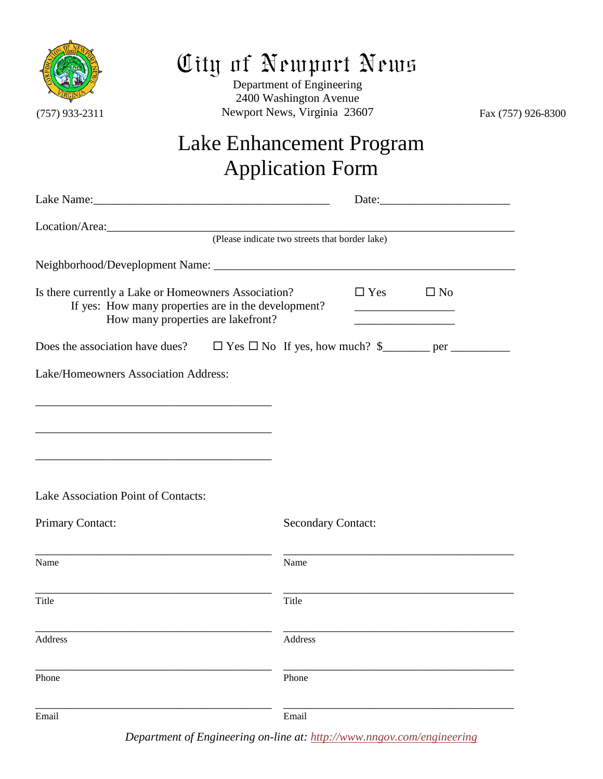

## City of Newport News

Department of Engineering 2400 Washington Avenue (757) 933-2311 Newport News, Virginia 23607 Fax (757) 926-8300

## Lake Enhancement Program Application Form

| Location/Area: 2000 and 2000 and 2000 and 2000 and 2000 and 2000 and 2000 and 2000 and 2000 and 200                                               |  |                                                |                                                                                           |  |
|---------------------------------------------------------------------------------------------------------------------------------------------------|--|------------------------------------------------|-------------------------------------------------------------------------------------------|--|
|                                                                                                                                                   |  | (Please indicate two streets that border lake) |                                                                                           |  |
|                                                                                                                                                   |  |                                                |                                                                                           |  |
| Is there currently a Lake or Homeowners Association?<br>If yes: How many properties are in the development?<br>How many properties are lakefront? |  |                                                | $\Box$ Yes<br>$\square$ No<br>the control of the control of the control of the control of |  |
|                                                                                                                                                   |  |                                                |                                                                                           |  |
| Lake/Homeowners Association Address:                                                                                                              |  |                                                |                                                                                           |  |
| <u> 1989 - Johann Stein, marwolaethau a bhann an t-Amhair ann an t-Amhair an t-Amhair an t-Amhair an t-Amhair an</u>                              |  |                                                |                                                                                           |  |
|                                                                                                                                                   |  |                                                |                                                                                           |  |
|                                                                                                                                                   |  |                                                |                                                                                           |  |
|                                                                                                                                                   |  |                                                |                                                                                           |  |
| Lake Association Point of Contacts:                                                                                                               |  |                                                |                                                                                           |  |
| Primary Contact:                                                                                                                                  |  | <b>Secondary Contact:</b>                      |                                                                                           |  |
|                                                                                                                                                   |  |                                                |                                                                                           |  |
| Name                                                                                                                                              |  | Name                                           |                                                                                           |  |
| Title                                                                                                                                             |  | Title                                          |                                                                                           |  |
|                                                                                                                                                   |  |                                                |                                                                                           |  |
| Address                                                                                                                                           |  | Address                                        |                                                                                           |  |
| Phone                                                                                                                                             |  | Phone                                          |                                                                                           |  |
|                                                                                                                                                   |  |                                                |                                                                                           |  |
| Email                                                                                                                                             |  | Email                                          |                                                                                           |  |

*Department of Engineering on-line at:<http://www.nngov.com/engineering>*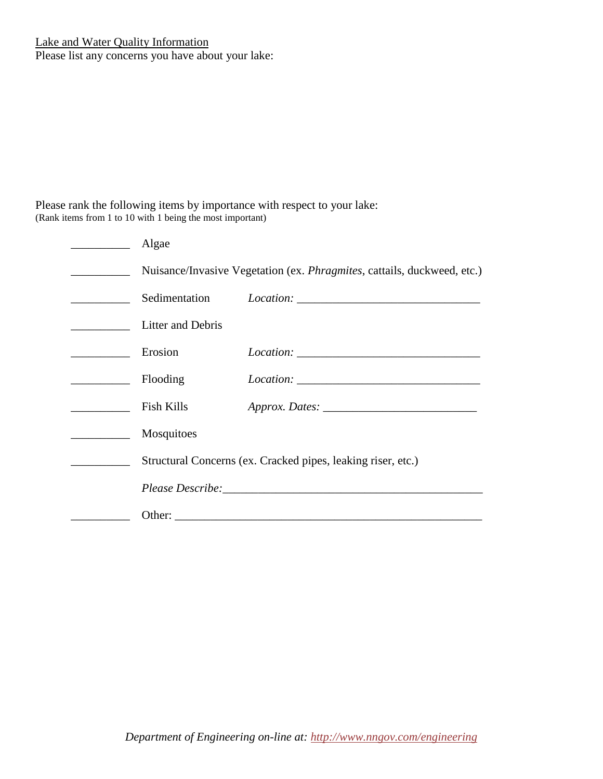Please list any concerns you have about your lake:

Please rank the following items by importance with respect to your lake: (Rank items from 1 to 10 with 1 being the most important)

| Algae                                                                           |  |  |  |
|---------------------------------------------------------------------------------|--|--|--|
| Nuisance/Invasive Vegetation (ex. <i>Phragmites</i> , cattails, duckweed, etc.) |  |  |  |
|                                                                                 |  |  |  |
| Litter and Debris                                                               |  |  |  |
| Erosion                                                                         |  |  |  |
| Flooding                                                                        |  |  |  |
| Fish Kills                                                                      |  |  |  |
| Mosquitoes                                                                      |  |  |  |
| Structural Concerns (ex. Cracked pipes, leaking riser, etc.)                    |  |  |  |
|                                                                                 |  |  |  |
|                                                                                 |  |  |  |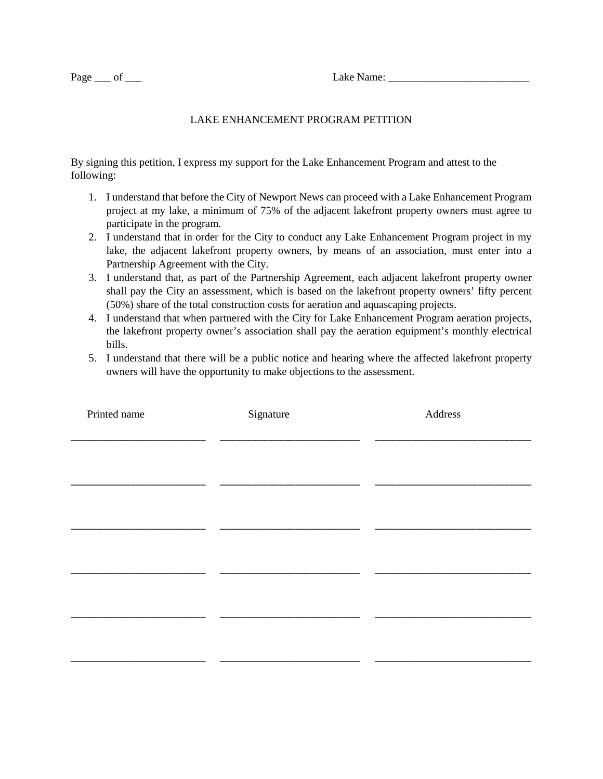## LAKE ENHANCEMENT PROGRAM PETITION

By signing this petition, I express my support for the Lake Enhancement Program and attest to the following:

- 1. I understand that before the City of Newport News can proceed with a Lake Enhancement Program project at my lake, a minimum of 75% of the adjacent lakefront property owners must agree to participate in the program.
- 2. I understand that in order for the City to conduct any Lake Enhancement Program project in my lake, the adjacent lakefront property owners, by means of an association, must enter into a Partnership Agreement with the City.
- 3. I understand that, as part of the Partnership Agreement, each adjacent lakefront property owner shall pay the City an assessment, which is based on the lakefront property owners' fifty percent (50%) share of the total construction costs for aeration and aquascaping projects.
- 4. I understand that when partnered with the City for Lake Enhancement Program aeration projects, the lakefront property owner's association shall pay the aeration equipment's monthly electrical bills.
- 5. I understand that there will be a public notice and hearing where the affected lakefront property owners will have the opportunity to make objections to the assessment.

| Printed name | Signature | Address |  |  |
|--------------|-----------|---------|--|--|
|              |           |         |  |  |
|              |           |         |  |  |
|              |           |         |  |  |
|              |           |         |  |  |
|              |           |         |  |  |
|              |           |         |  |  |
|              |           |         |  |  |
|              |           |         |  |  |
|              |           |         |  |  |
|              |           |         |  |  |
|              |           |         |  |  |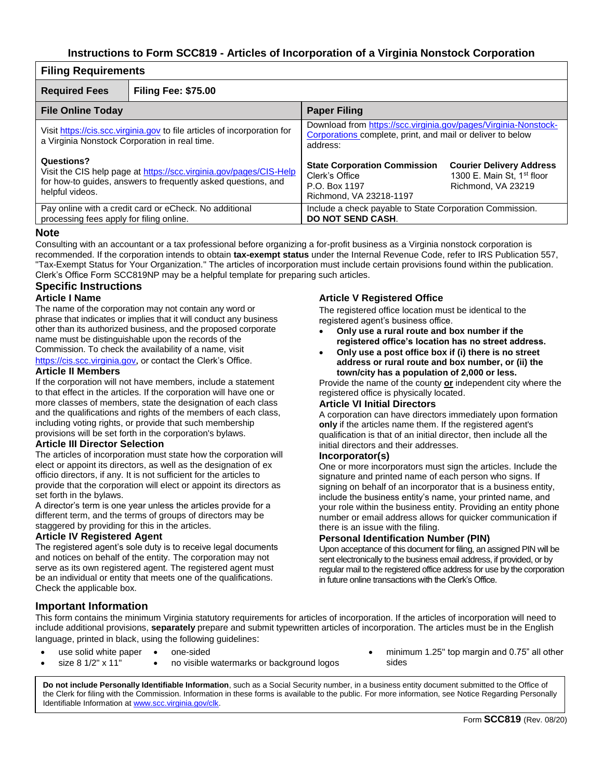## **Instructions to Form SCC819 - Articles of Incorporation of a Virginia Nonstock Corporation**

| <b>Filing Requirements</b>                                                                                                                                           |                                                        |                                                                                                                                                                                                      |  |  |
|----------------------------------------------------------------------------------------------------------------------------------------------------------------------|--------------------------------------------------------|------------------------------------------------------------------------------------------------------------------------------------------------------------------------------------------------------|--|--|
| <b>Required Fees</b>                                                                                                                                                 | <b>Filing Fee: \$75.00</b>                             |                                                                                                                                                                                                      |  |  |
| <b>File Online Today</b>                                                                                                                                             |                                                        | <b>Paper Filing</b>                                                                                                                                                                                  |  |  |
| Visit https://cis.scc.virginia.gov to file articles of incorporation for<br>a Virginia Nonstock Corporation in real time.                                            |                                                        | Download from https://scc.virginia.gov/pages/Virginia-Nonstock-<br>Corporations complete, print, and mail or deliver to below<br>address:                                                            |  |  |
| Questions?<br>Visit the CIS help page at https://scc.virginia.gov/pages/CIS-Help<br>for how-to guides, answers to frequently asked questions, and<br>helpful videos. |                                                        | <b>State Corporation Commission</b><br><b>Courier Delivery Address</b><br>1300 E. Main St, 1 <sup>st</sup> floor<br>Clerk's Office<br>P.O. Box 1197<br>Richmond, VA 23219<br>Richmond, VA 23218-1197 |  |  |
| processing fees apply for filing online.                                                                                                                             | Pay online with a credit card or eCheck. No additional | Include a check payable to State Corporation Commission.<br>DO NOT SEND CASH.                                                                                                                        |  |  |

#### **Note**

Consulting with an accountant or a tax professional before organizing a for-profit business as a Virginia nonstock corporation is recommended. If the corporation intends to obtain **tax-exempt status** under the Internal Revenue Code, refer to IRS Publication 557, "Tax-Exempt Status for Your Organization." The articles of incorporation must include certain provisions found within the publication. Clerk's Office Form SCC819NP may be a helpful template for preparing such articles.

### **Specific Instructions**

#### **Article I Name**

The name of the corporation may not contain any word or phrase that indicates or implies that it will conduct any business other than its authorized business, and the proposed corporate name must be distinguishable upon the records of the Commission. To check the availability of a name, visit [https://cis.scc.virginia.gov](https://cis.scc.virginia.gov/), or contact the Clerk's Office.

#### **Article II Members**

If the corporation will not have members, include a statement to that effect in the articles. If the corporation will have one or more classes of members, state the designation of each class and the qualifications and rights of the members of each class, including voting rights, or provide that such membership provisions will be set forth in the corporation's bylaws.

#### **Article III Director Selection**

The articles of incorporation must state how the corporation will elect or appoint its directors, as well as the designation of ex officio directors, if any. It is not sufficient for the articles to provide that the corporation will elect or appoint its directors as set forth in the bylaws.

A director's term is one year unless the articles provide for a different term, and the terms of groups of directors may be staggered by providing for this in the articles.

#### **Article IV Registered Agent**

The registered agent's sole duty is to receive legal documents and notices on behalf of the entity. The corporation may not serve as its own registered agent. The registered agent must be an individual or entity that meets one of the qualifications. Check the applicable box.

### **Article V Registered Office**

The registered office location must be identical to the registered agent's business office.

- **Only use a rural route and box number if the registered office's location has no street address.**
- **Only use a post office box if (i) there is no street address or rural route and box number, or (ii) the town/city has a population of 2,000 or less.**

Provide the name of the county **or** independent city where the registered office is physically located.

#### **Article VI Initial Directors**

A corporation can have directors immediately upon formation **only** if the articles name them. If the registered agent's qualification is that of an initial director, then include all the initial directors and their addresses.

#### **Incorporator(s)**

One or more incorporators must sign the articles. Include the signature and printed name of each person who signs. If signing on behalf of an incorporator that is a business entity, include the business entity's name, your printed name, and your role within the business entity. Providing an entity phone number or email address allows for quicker communication if there is an issue with the filing.

#### **Personal Identification Number (PIN)**

Upon acceptance of this document for filing, an assigned PIN will be sent electronically to the business email address, if provided, or by regular mail to the registered office address for use by the corporation in future online transactions with the Clerk's Office.

## **Important Information**

This form contains the minimum Virginia statutory requirements for articles of incorporation. If the articles of incorporation will need to include additional provisions, **separately** prepare and submit typewritten articles of incorporation. The articles must be in the English language, printed in black, using the following guidelines:

- use solid white paper
	- size 8 1/2" x 11" • no visible watermarks or background logos

• one-sided

• minimum 1.25" top margin and 0.75" all other sides

**Do not include Personally Identifiable Information**, such as a Social Security number, in a business entity document submitted to the Office of the Clerk for filing with the Commission. Information in these forms is available to the public. For more information, see Notice Regarding Personally Identifiable Information a[t www.scc.virginia.gov/clk.](http://www.scc.virginia.gov/clk)